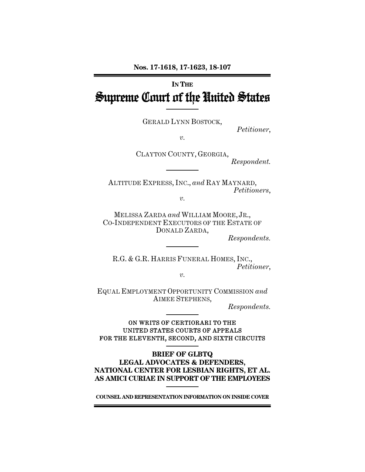# **IN THE** Supreme Court of the United States

GERALD LYNN BOSTOCK,

*Petitioner*,

*v.* 

CLAYTON COUNTY, GEORGIA, *Respondent.* 

ALTITUDE EXPRESS, INC., *and* RAY MAYNARD, *Petitioners*,

 $\eta$ .

MELISSA ZARDA *and* WILLIAM MOORE, JR., CO-INDEPENDENT EXECUTORS OF THE ESTATE OF DONALD ZARDA,

*Respondents.* 

R.G. & G.R. HARRIS FUNERAL HOMES, INC., *Petitioner*,

*v.* 

EQUAL EMPLOYMENT OPPORTUNITY COMMISSION *and* AIMEE STEPHENS,

*Respondents.* 

ON WRITS OF CERTIORARI TO THE UNITED STATES COURTS OF APPEALS FOR THE ELEVENTH, SECOND, AND SIXTH CIRCUITS

### **BRIEF OF GLBTQ LEGAL ADVOCATES & DEFENDERS, NATIONAL CENTER FOR LESBIAN RIGHTS, ET AL. AS AMICI CURIAE IN SUPPORT OF THE EMPLOYEES**

**COUNSEL AND REPRESENTATION INFORMATION ON INSIDE COVER**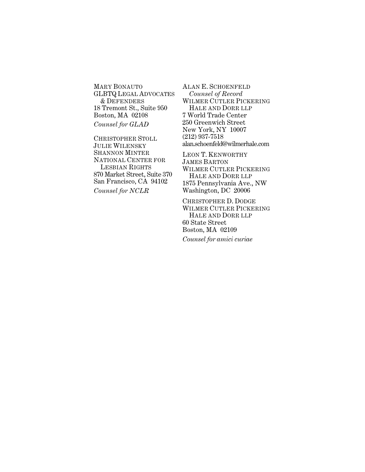MARY BONAUTO GLBTQ LEGAL ADVOCATES & DEFENDERS 18 Tremont St., Suite 950 Boston, MA 02108 *Counsel for GLAD* 

CHRISTOPHER STOLL JULIE WILENSKY SHANNON MINTER NATIONAL CENTER FOR LESBIAN RIGHTS 870 Market Street, Suite 370 San Francisco, CA 94102 *Counsel for NCLR*

ALAN E. SCHOENFELD  *Counsel of Record* WILMER CUTLER PICKERING HALE AND DORR LLP 7 World Trade Center 250 Greenwich Street New York, NY 10007 (212) 937-7518 alan.schoenfeld@wilmerhale.com

LEON T. KENWORTHY JAMES BARTON WILMER CUTLER PICKERING HALE AND DORR LLP 1875 Pennsylvania Ave., NW Washington, DC 20006

CHRISTOPHER D. DODGE WILMER CUTLER PICKERING HALE AND DORR LLP 60 State Street Boston, MA 02109 *Counsel for amici curiae*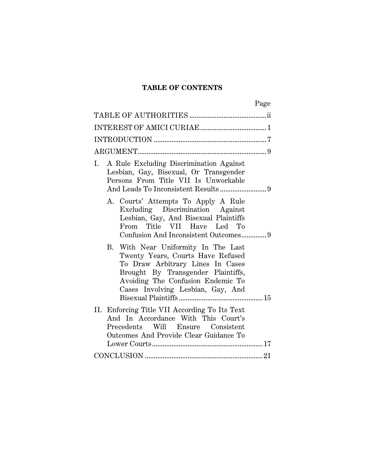### **TABLE OF CONTENTS**

|                                                                                                                                                                                                                              | Page |
|------------------------------------------------------------------------------------------------------------------------------------------------------------------------------------------------------------------------------|------|
|                                                                                                                                                                                                                              |      |
|                                                                                                                                                                                                                              |      |
|                                                                                                                                                                                                                              |      |
|                                                                                                                                                                                                                              |      |
| A Rule Excluding Discrimination Against<br>Ι.<br>Lesbian, Gay, Bisexual, Or Transgender<br>Persons From Title VII Is Unworkable                                                                                              |      |
| A. Courts' Attempts To Apply A Rule<br>Excluding Discrimination Against<br>Lesbian, Gay, And Bisexual Plaintiffs<br>From Title VII Have Led To                                                                               |      |
| B. With Near Uniformity In The Last<br>Twenty Years, Courts Have Refused<br>To Draw Arbitrary Lines In Cases<br>Brought By Transgender Plaintiffs,<br>Avoiding The Confusion Endemic To<br>Cases Involving Lesbian, Gay, And |      |
| II. Enforcing Title VII According To Its Text<br>And In Accordance With This Court's<br>Precedents Will Ensure Consistent<br>Outcomes And Provide Clear Guidance To                                                          |      |
|                                                                                                                                                                                                                              |      |
|                                                                                                                                                                                                                              |      |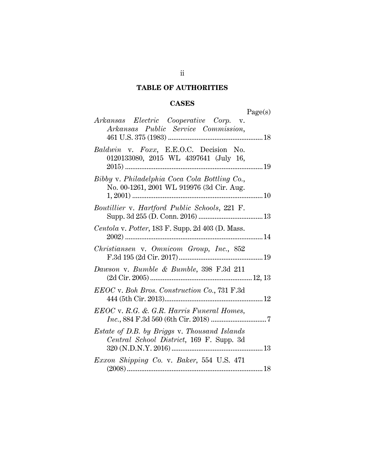# **TABLE OF AUTHORITIES**

# **CASES**

| Arkansas Electric Cooperative Corp. v.<br>Arkansas Public Service Commission,              | Page(s) |
|--------------------------------------------------------------------------------------------|---------|
| Baldwin v. Foxx, E.E.O.C. Decision No.<br>0120133080, 2015 WL 4397641 (July 16,            | 19      |
| Bibby v. Philadelphia Coca Cola Bottling Co.,<br>No. 00-1261, 2001 WL 919976 (3d Cir. Aug. | 10      |
| Boutillier v. Hartford Public Schools, 221 F.                                              |         |
| Centola v. Potter, 183 F. Supp. 2d 403 (D. Mass.                                           |         |
| Christiansen v. Omnicom Group, Inc., 852                                                   |         |
| Dawson v. Bumble & Bumble, 398 F.3d 211                                                    |         |
| EEOC v. Boh Bros. Construction Co., 731 F.3d                                               |         |
| EEOC v. R.G. & G.R. Harris Funeral Homes,                                                  |         |
| Estate of D.B. by Briggs v. Thousand Islands<br>Central School District, 169 F. Supp. 3d   |         |
| Exxon Shipping Co. v. Baker, 554 U.S. 471                                                  |         |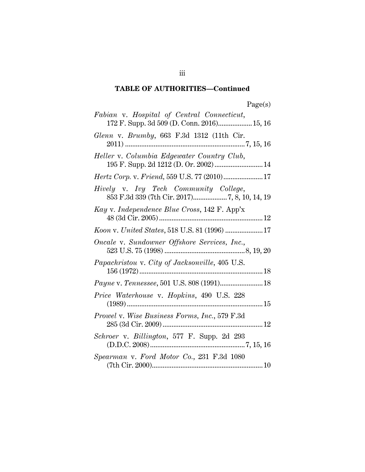# **TABLE OF AUTHORITIES—Continued**

| Page(s) |
|---------|
|---------|

| Fabian v. Hospital of Central Connecticut,<br>172 F. Supp. 3d 509 (D. Conn. 2016) 15, 16                                                                                                          |
|---------------------------------------------------------------------------------------------------------------------------------------------------------------------------------------------------|
| Glenn v. Brumby, 663 F.3d 1312 (11th Cir.                                                                                                                                                         |
| Heller v. Columbia Edgewater Country Club,<br>195 F. Supp. 2d 1212 (D. Or. 2002)  14                                                                                                              |
|                                                                                                                                                                                                   |
| Hively v. Ivy Tech Community College,                                                                                                                                                             |
| Kay v. Independence Blue Cross, 142 F. App'x                                                                                                                                                      |
| Koon v. United States, 518 U.S. 81 (1996)  17                                                                                                                                                     |
| $\begin{minipage}{.4\linewidth} \textbf{Oracle v.}~\textbf{Sundowner~Offshore~Services, Inc.},\\ 523~\textbf{U.S.}~75~(1998)~\textbf{}\textbf{}\textbf{}\textbf{}\textbf{8},19,20 \end{minipage}$ |
| Papachristou v. City of Jacksonville, 405 U.S.                                                                                                                                                    |
|                                                                                                                                                                                                   |
| Price Waterhouse v. Hopkins, 490 U.S. 228                                                                                                                                                         |
| <i>Prowel v. Wise Business Forms, Inc., 579 F.3d</i>                                                                                                                                              |
| Schroer v. Billington, 577 F. Supp. 2d 293                                                                                                                                                        |
| Spearman v. Ford Motor Co., 231 F.3d 1080                                                                                                                                                         |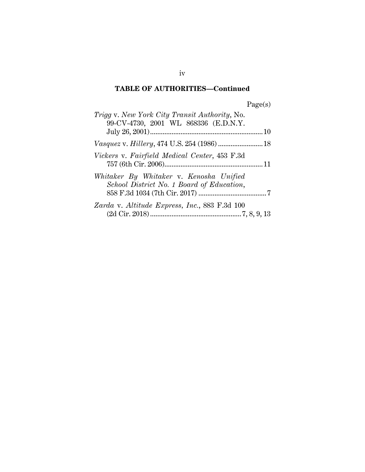# **TABLE OF AUTHORITIES—Continued**

| <i>Trigg v. New York City Transit Authority, No.</i><br>99-CV-4730, 2001 WL 868336 (E.D.N.Y. |  |
|----------------------------------------------------------------------------------------------|--|
|                                                                                              |  |
|                                                                                              |  |
| Vickers v. Fairfield Medical Center, 453 F.3d                                                |  |
| Whitaker By Whitaker v. Kenosha Unified<br>School District No. 1 Board of Education,         |  |
| Zarda v. Altitude Express, Inc., 883 F.3d 100                                                |  |

iv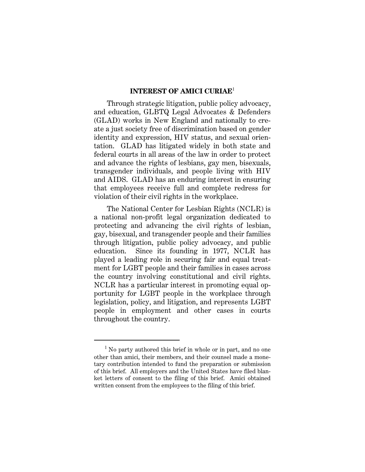### **INTEREST OF AMICI CURIAE**<sup>1</sup>

Through strategic litigation, public policy advocacy, and education, GLBTQ Legal Advocates & Defenders (GLAD) works in New England and nationally to create a just society free of discrimination based on gender identity and expression, HIV status, and sexual orientation. GLAD has litigated widely in both state and federal courts in all areas of the law in order to protect and advance the rights of lesbians, gay men, bisexuals, transgender individuals, and people living with HIV and AIDS. GLAD has an enduring interest in ensuring that employees receive full and complete redress for violation of their civil rights in the workplace.

The National Center for Lesbian Rights (NCLR) is a national non-profit legal organization dedicated to protecting and advancing the civil rights of lesbian, gay, bisexual, and transgender people and their families through litigation, public policy advocacy, and public education. Since its founding in 1977, NCLR has played a leading role in securing fair and equal treatment for LGBT people and their families in cases across the country involving constitutional and civil rights. NCLR has a particular interest in promoting equal opportunity for LGBT people in the workplace through legislation, policy, and litigation, and represents LGBT people in employment and other cases in courts throughout the country.

I

<sup>&</sup>lt;sup>1</sup> No party authored this brief in whole or in part, and no one other than amici, their members, and their counsel made a monetary contribution intended to fund the preparation or submission of this brief. All employers and the United States have filed blanket letters of consent to the filing of this brief. Amici obtained written consent from the employees to the filing of this brief.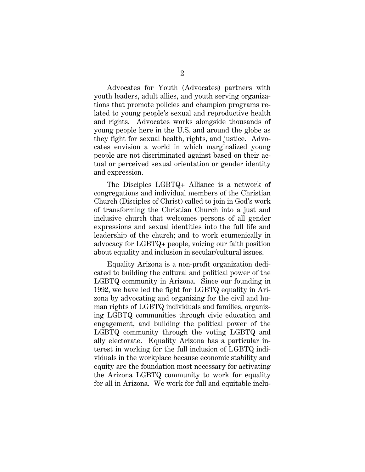Advocates for Youth (Advocates) partners with youth leaders, adult allies, and youth serving organizations that promote policies and champion programs related to young people's sexual and reproductive health and rights. Advocates works alongside thousands of young people here in the U.S. and around the globe as they fight for sexual health, rights, and justice. Advocates envision a world in which marginalized young people are not discriminated against based on their actual or perceived sexual orientation or gender identity and expression.

The Disciples LGBTQ+ Alliance is a network of congregations and individual members of the Christian Church (Disciples of Christ) called to join in God's work of transforming the Christian Church into a just and inclusive church that welcomes persons of all gender expressions and sexual identities into the full life and leadership of the church; and to work ecumenically in advocacy for LGBTQ+ people, voicing our faith position about equality and inclusion in secular/cultural issues.

Equality Arizona is a non-profit organization dedicated to building the cultural and political power of the LGBTQ community in Arizona. Since our founding in 1992, we have led the fight for LGBTQ equality in Arizona by advocating and organizing for the civil and human rights of LGBTQ individuals and families, organizing LGBTQ communities through civic education and engagement, and building the political power of the LGBTQ community through the voting LGBTQ and ally electorate. Equality Arizona has a particular interest in working for the full inclusion of LGBTQ individuals in the workplace because economic stability and equity are the foundation most necessary for activating the Arizona LGBTQ community to work for equality for all in Arizona. We work for full and equitable inclu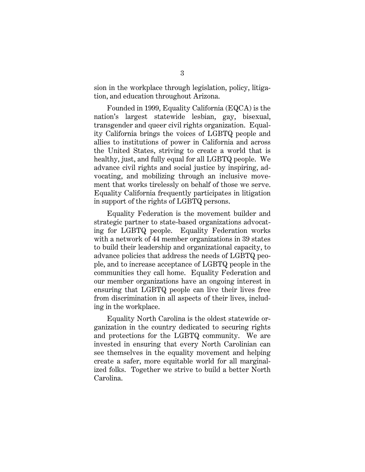sion in the workplace through legislation, policy, litigation, and education throughout Arizona.

Founded in 1999, Equality California (EQCA) is the nation's largest statewide lesbian, gay, bisexual, transgender and queer civil rights organization. Equality California brings the voices of LGBTQ people and allies to institutions of power in California and across the United States, striving to create a world that is healthy, just, and fully equal for all LGBTQ people. We advance civil rights and social justice by inspiring, advocating, and mobilizing through an inclusive movement that works tirelessly on behalf of those we serve. Equality California frequently participates in litigation in support of the rights of LGBTQ persons.

Equality Federation is the movement builder and strategic partner to state-based organizations advocating for LGBTQ people. Equality Federation works with a network of 44 member organizations in 39 states to build their leadership and organizational capacity, to advance policies that address the needs of LGBTQ people, and to increase acceptance of LGBTQ people in the communities they call home. Equality Federation and our member organizations have an ongoing interest in ensuring that LGBTQ people can live their lives free from discrimination in all aspects of their lives, including in the workplace.

Equality North Carolina is the oldest statewide organization in the country dedicated to securing rights and protections for the LGBTQ community. We are invested in ensuring that every North Carolinian can see themselves in the equality movement and helping create a safer, more equitable world for all marginalized folks. Together we strive to build a better North Carolina.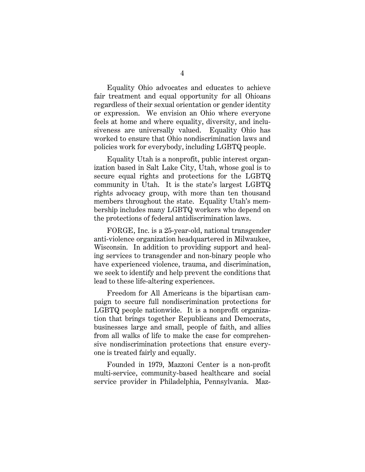Equality Ohio advocates and educates to achieve fair treatment and equal opportunity for all Ohioans regardless of their sexual orientation or gender identity or expression. We envision an Ohio where everyone feels at home and where equality, diversity, and inclusiveness are universally valued. Equality Ohio has worked to ensure that Ohio nondiscrimination laws and policies work for everybody, including LGBTQ people.

Equality Utah is a nonprofit, public interest organization based in Salt Lake City, Utah, whose goal is to secure equal rights and protections for the LGBTQ community in Utah. It is the state's largest LGBTQ rights advocacy group, with more than ten thousand members throughout the state. Equality Utah's membership includes many LGBTQ workers who depend on the protections of federal antidiscrimination laws.

FORGE, Inc. is a 25-year-old, national transgender anti-violence organization headquartered in Milwaukee, Wisconsin. In addition to providing support and healing services to transgender and non-binary people who have experienced violence, trauma, and discrimination, we seek to identify and help prevent the conditions that lead to these life-altering experiences.

Freedom for All Americans is the bipartisan campaign to secure full nondiscrimination protections for LGBTQ people nationwide. It is a nonprofit organization that brings together Republicans and Democrats, businesses large and small, people of faith, and allies from all walks of life to make the case for comprehensive nondiscrimination protections that ensure everyone is treated fairly and equally.

Founded in 1979, Mazzoni Center is a non-profit multi-service, community-based healthcare and social service provider in Philadelphia, Pennsylvania. Maz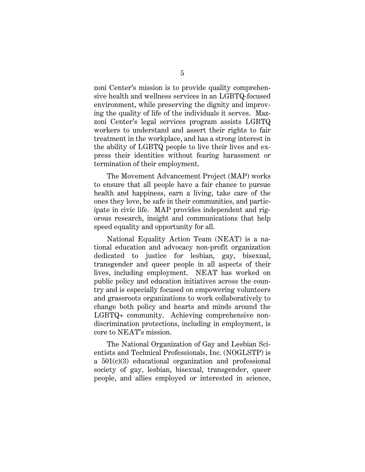zoni Center's mission is to provide quality comprehensive health and wellness services in an LGBTQ-focused environment, while preserving the dignity and improving the quality of life of the individuals it serves. Mazzoni Center's legal services program assists LGBTQ workers to understand and assert their rights to fair treatment in the workplace, and has a strong interest in the ability of LGBTQ people to live their lives and express their identities without fearing harassment or termination of their employment.

The Movement Advancement Project (MAP) works to ensure that all people have a fair chance to pursue health and happiness, earn a living, take care of the ones they love, be safe in their communities, and participate in civic life. MAP provides independent and rigorous research, insight and communications that help speed equality and opportunity for all.

National Equality Action Team (NEAT) is a national education and advocacy non-profit organization dedicated to justice for lesbian, gay, bisexual, transgender and queer people in all aspects of their lives, including employment. NEAT has worked on public policy and education initiatives across the country and is especially focused on empowering volunteers and grassroots organizations to work collaboratively to change both policy and hearts and minds around the LGBTQ+ community. Achieving comprehensive nondiscrimination protections, including in employment, is core to NEAT's mission.

The National Organization of Gay and Lesbian Scientists and Technical Professionals, Inc. (NOGLSTP) is a 501(c)(3) educational organization and professional society of gay, lesbian, bisexual, transgender, queer people, and allies employed or interested in science,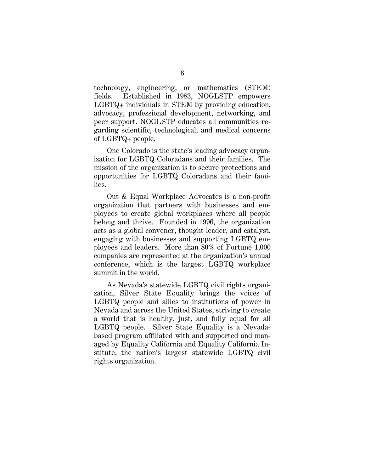technology, engineering, or mathematics (STEM) fields. Established in 1983, NOGLSTP empowers LGBTQ+ individuals in STEM by providing education, advocacy, professional development, networking, and peer support. NOGLSTP educates all communities regarding scientific, technological, and medical concerns of LGBTQ+ people.

One Colorado is the state's leading advocacy organization for LGBTQ Coloradans and their families. The mission of the organization is to secure protections and opportunities for LGBTQ Coloradans and their families.

Out & Equal Workplace Advocates is a non-profit organization that partners with businesses and employees to create global workplaces where all people belong and thrive. Founded in 1996, the organization acts as a global convener, thought leader, and catalyst, engaging with businesses and supporting LGBTQ employees and leaders. More than 80% of Fortune 1,000 companies are represented at the organization's annual conference, which is the largest LGBTQ workplace summit in the world.

As Nevada's statewide LGBTQ civil rights organization, Silver State Equality brings the voices of LGBTQ people and allies to institutions of power in Nevada and across the United States, striving to create a world that is healthy, just, and fully equal for all LGBTQ people. Silver State Equality is a Nevadabased program affiliated with and supported and managed by Equality California and Equality California Institute, the nation's largest statewide LGBTQ civil rights organization.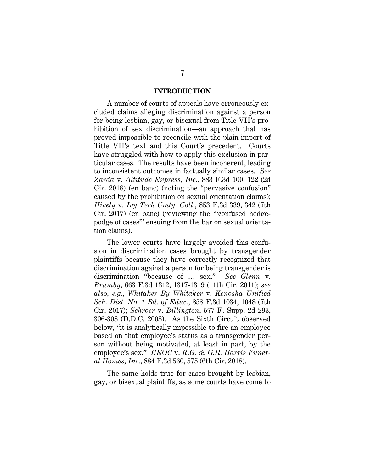#### **INTRODUCTION**

A number of courts of appeals have erroneously excluded claims alleging discrimination against a person for being lesbian, gay, or bisexual from Title VII's prohibition of sex discrimination—an approach that has proved impossible to reconcile with the plain import of Title VII's text and this Court's precedent. Courts have struggled with how to apply this exclusion in particular cases. The results have been incoherent, leading to inconsistent outcomes in factually similar cases. *See Zarda* v. *Altitude Express, Inc.*, 883 F.3d 100, 122 (2d Cir. 2018) (en banc) (noting the "pervasive confusion" caused by the prohibition on sexual orientation claims); *Hively* v. *Ivy Tech Cmty. Coll.*, 853 F.3d 339, 342 (7th Cir. 2017) (en banc) (reviewing the "'confused hodgepodge of cases'" ensuing from the bar on sexual orientation claims).

The lower courts have largely avoided this confusion in discrimination cases brought by transgender plaintiffs because they have correctly recognized that discrimination against a person for being transgender is discrimination "because of … sex." *See Glenn* v. *Brumby*, 663 F.3d 1312, 1317-1319 (11th Cir. 2011); *see also, e.g.*, *Whitaker By Whitaker* v. *Kenosha Unified Sch. Dist. No. 1 Bd. of Educ.*, 858 F.3d 1034, 1048 (7th Cir. 2017); *Schroer* v. *Billington*, 577 F. Supp. 2d 293, 306-308 (D.D.C. 2008). As the Sixth Circuit observed below, "it is analytically impossible to fire an employee based on that employee's status as a transgender person without being motivated, at least in part, by the employee's sex." *EEOC* v. *R.G. &. G.R. Harris Funeral Homes, Inc.*, 884 F.3d 560, 575 (6th Cir. 2018).

The same holds true for cases brought by lesbian, gay, or bisexual plaintiffs, as some courts have come to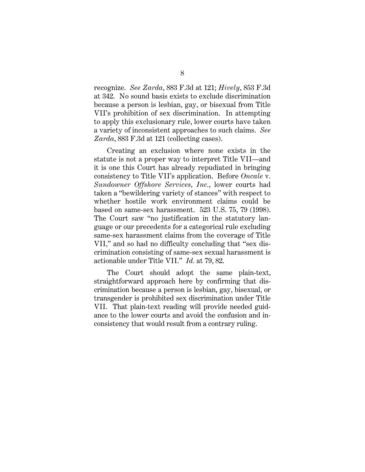recognize. *See Zarda*, 883 F.3d at 121; *Hively*, 853 F.3d at 342. No sound basis exists to exclude discrimination because a person is lesbian, gay, or bisexual from Title VII's prohibition of sex discrimination. In attempting to apply this exclusionary rule, lower courts have taken a variety of inconsistent approaches to such claims. *See*  Zarda, 883 F.3d at 121 (collecting cases).

Creating an exclusion where none exists in the statute is not a proper way to interpret Title VII—and it is one this Court has already repudiated in bringing consistency to Title VII's application. Before *Oncale* v. *Sundowner Offshore Services, Inc.*, lower courts had taken a "bewildering variety of stances" with respect to whether hostile work environment claims could be based on same-sex harassment. 523 U.S. 75, 79 (1998). The Court saw "no justification in the statutory language or our precedents for a categorical rule excluding same-sex harassment claims from the coverage of Title VII," and so had no difficulty concluding that "sex discrimination consisting of same-sex sexual harassment is actionable under Title VII." *Id.* at 79, 82.

The Court should adopt the same plain-text, straightforward approach here by confirming that discrimination because a person is lesbian, gay, bisexual, or transgender is prohibited sex discrimination under Title VII. That plain-text reading will provide needed guidance to the lower courts and avoid the confusion and inconsistency that would result from a contrary ruling.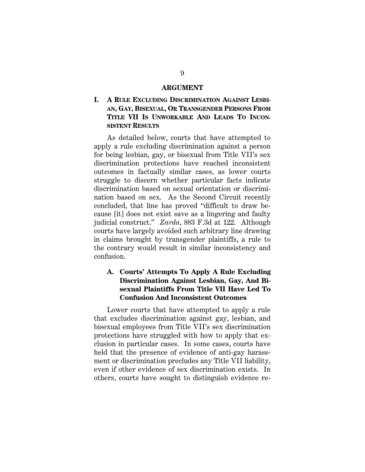#### **ARGUMENT**

### **I. A RULE EXCLUDING DISCRIMINATION AGAINST LESBI-AN, GAY, BISEXUAL, OR TRANSGENDER PERSONS FROM TITLE VII IS UNWORKABLE AND LEADS TO INCON-SISTENT RESULTS**

As detailed below, courts that have attempted to apply a rule excluding discrimination against a person for being lesbian, gay, or bisexual from Title VII's sex discrimination protections have reached inconsistent outcomes in factually similar cases, as lower courts struggle to discern whether particular facts indicate discrimination based on sexual orientation or discrimination based on sex. As the Second Circuit recently concluded, that line has proved "difficult to draw because [it] does not exist save as a lingering and faulty judicial construct." *Zarda*, 883 F.3d at 122. Although courts have largely avoided such arbitrary line drawing in claims brought by transgender plaintiffs, a rule to the contrary would result in similar inconsistency and confusion.

### **A. Courts' Attempts To Apply A Rule Excluding Discrimination Against Lesbian, Gay, And Bisexual Plaintiffs From Title VII Have Led To Confusion And Inconsistent Outcomes**

Lower courts that have attempted to apply a rule that excludes discrimination against gay, lesbian, and bisexual employees from Title VII's sex discrimination protections have struggled with how to apply that exclusion in particular cases. In some cases, courts have held that the presence of evidence of anti-gay harassment or discrimination precludes any Title VII liability, even if other evidence of sex discrimination exists. In others, courts have sought to distinguish evidence re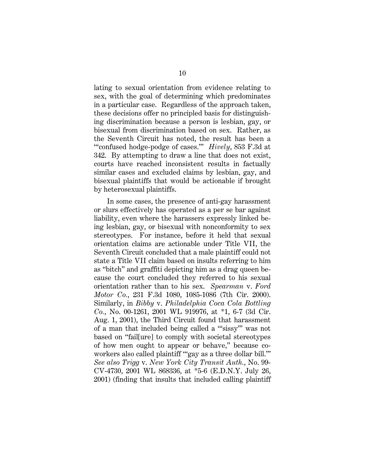lating to sexual orientation from evidence relating to sex, with the goal of determining which predominates in a particular case. Regardless of the approach taken, these decisions offer no principled basis for distinguishing discrimination because a person is lesbian, gay, or bisexual from discrimination based on sex. Rather, as the Seventh Circuit has noted, the result has been a "'confused hodge-podge of cases.'" *Hively*, 853 F.3d at 342. By attempting to draw a line that does not exist, courts have reached inconsistent results in factually similar cases and excluded claims by lesbian, gay, and bisexual plaintiffs that would be actionable if brought by heterosexual plaintiffs.

In some cases, the presence of anti-gay harassment or slurs effectively has operated as a per se bar against liability, even where the harassers expressly linked being lesbian, gay, or bisexual with nonconformity to sex stereotypes. For instance, before it held that sexual orientation claims are actionable under Title VII, the Seventh Circuit concluded that a male plaintiff could not state a Title VII claim based on insults referring to him as "bitch" and graffiti depicting him as a drag queen because the court concluded they referred to his sexual orientation rather than to his sex. *Spearman* v. *Ford Motor Co.*, 231 F.3d 1080, 1085-1086 (7th Cir. 2000). Similarly, in *Bibby* v. *Philadelphia Coca Cola Bottling Co.*, No. 00-1261, 2001 WL 919976, at \*1, 6-7 (3d Cir. Aug. 1, 2001), the Third Circuit found that harassment of a man that included being called a "'sissy'" was not based on "fail[ure] to comply with societal stereotypes of how men ought to appear or behave," because coworkers also called plaintiff "'gay as a three dollar bill.'" *See also Trigg* v. *New York City Transit Auth.*, No. 99- CV-4730, 2001 WL 868336, at \*5-6 (E.D.N.Y. July 26, 2001) (finding that insults that included calling plaintiff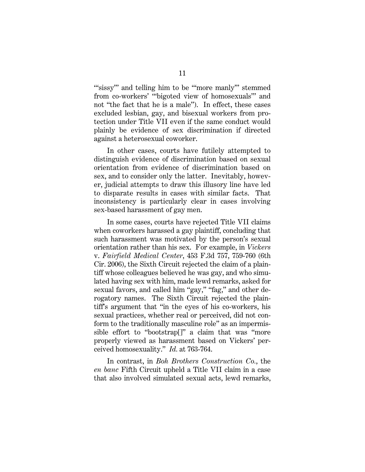"sissy" and telling him to be "more manly" stemmed from co-workers' "'bigoted view of homosexuals'" and not "the fact that he is a male"). In effect, these cases excluded lesbian, gay, and bisexual workers from protection under Title VII even if the same conduct would plainly be evidence of sex discrimination if directed against a heterosexual coworker.

In other cases, courts have futilely attempted to distinguish evidence of discrimination based on sexual orientation from evidence of discrimination based on sex, and to consider only the latter. Inevitably, however, judicial attempts to draw this illusory line have led to disparate results in cases with similar facts. That inconsistency is particularly clear in cases involving sex-based harassment of gay men.

In some cases, courts have rejected Title VII claims when coworkers harassed a gay plaintiff, concluding that such harassment was motivated by the person's sexual orientation rather than his sex. For example, in *Vickers* v. *Fairfield Medical Center*, 453 F.3d 757, 759-760 (6th Cir. 2006), the Sixth Circuit rejected the claim of a plaintiff whose colleagues believed he was gay, and who simulated having sex with him, made lewd remarks, asked for sexual favors, and called him "gay," "fag," and other derogatory names. The Sixth Circuit rejected the plaintiff's argument that "in the eyes of his co-workers, his sexual practices, whether real or perceived, did not conform to the traditionally masculine role" as an impermissible effort to "bootstrap[]" a claim that was "more properly viewed as harassment based on Vickers' perceived homosexuality." *Id.* at 763-764.

In contrast, in *Boh Brothers Construction Co.*, the *en banc* Fifth Circuit upheld a Title VII claim in a case that also involved simulated sexual acts, lewd remarks,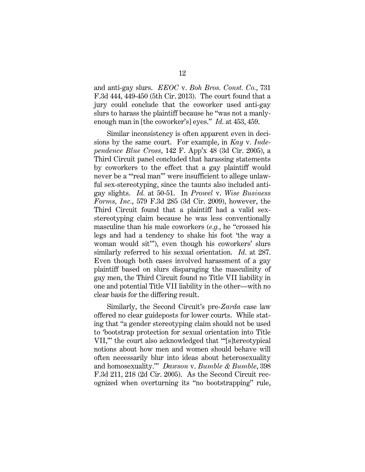and anti-gay slurs. *EEOC* v. *Boh Bros. Const. Co.*, 731 F.3d 444, 449-450 (5th Cir. 2013). The court found that a jury could conclude that the coworker used anti-gay slurs to harass the plaintiff because he "was not a manlyenough man in [the coworker's] eyes." *Id.* at 453, 459.

Similar inconsistency is often apparent even in decisions by the same court. For example, in *Kay* v*. Independence Blue Cross*, 142 F. App'x 48 (3d Cir. 2005), a Third Circuit panel concluded that harassing statements by coworkers to the effect that a gay plaintiff would never be a "'real man'" were insufficient to allege unlawful sex-stereotyping, since the taunts also included antigay slights. *Id.* at 50-51. In *Prowel* v. *Wise Business Forms, Inc.*, 579 F.3d 285 (3d Cir. 2009), however, the Third Circuit found that a plaintiff had a valid sexstereotyping claim because he was less conventionally masculine than his male coworkers (*e.g.*, he "crossed his legs and had a tendency to shake his foot 'the way a woman would sit'"), even though his coworkers' slurs similarly referred to his sexual orientation. *Id.* at 287. Even though both cases involved harassment of a gay plaintiff based on slurs disparaging the masculinity of gay men, the Third Circuit found no Title VII liability in one and potential Title VII liability in the other—with no clear basis for the differing result.

Similarly, the Second Circuit's pre-*Zarda* case law offered no clear guideposts for lower courts. While stating that "a gender stereotyping claim should not be used to 'bootstrap protection for sexual orientation into Title VII,'" the court also acknowledged that "'[s]tereotypical notions about how men and women should behave will often necessarily blur into ideas about heterosexuality and homosexuality.'" *Dawson* v. *Bumble & Bumble*, 398 F.3d 211, 218 (2d Cir. 2005). As the Second Circuit recognized when overturning its "no bootstrapping" rule,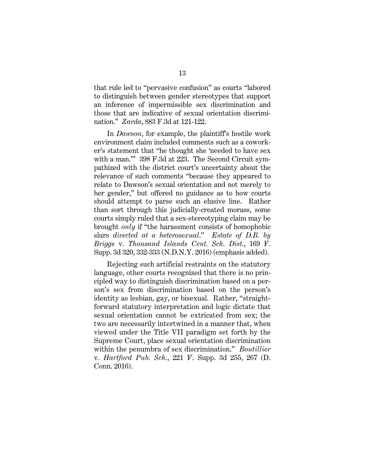that rule led to "pervasive confusion" as courts "labored to distinguish between gender stereotypes that support an inference of impermissible sex discrimination and those that are indicative of sexual orientation discrimination." *Zarda*, 883 F.3d at 121-122.

In *Dawson*, for example, the plaintiff's hostile work environment claim included comments such as a coworker's statement that "he thought she 'needed to have sex with a man.'" 398 F.3d at 223. The Second Circuit sympathized with the district court's uncertainty about the relevance of such comments "because they appeared to relate to Dawson's sexual orientation and not merely to her gender," but offered no guidance as to how courts should attempt to parse such an elusive line. Rather than sort through this judicially-created morass, some courts simply ruled that a sex-stereotyping claim may be brought *only* if "the harassment consists of homophobic slurs *directed at a heterosexual*." *Estate of D.B. by Briggs* v. *Thousand Islands Cent. Sch. Dist.*, 169 F. Supp. 3d 320, 332-333 (N.D.N.Y. 2016) (emphasis added).

Rejecting such artificial restraints on the statutory language, other courts recognized that there is no principled way to distinguish discrimination based on a person's sex from discrimination based on the person's identity as lesbian, gay, or bisexual. Rather, "straightforward statutory interpretation and logic dictate that sexual orientation cannot be extricated from sex; the two are necessarily intertwined in a manner that, when viewed under the Title VII paradigm set forth by the Supreme Court, place sexual orientation discrimination within the penumbra of sex discrimination." *Boutillier* v. *Hartford Pub. Sch.*, 221 F. Supp. 3d 255, 267 (D. Conn. 2016).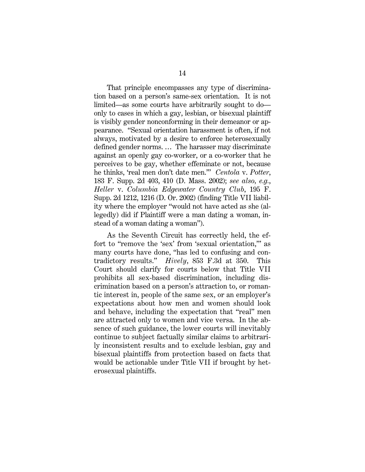That principle encompasses any type of discrimination based on a person's same-sex orientation. It is not limited—as some courts have arbitrarily sought to do only to cases in which a gay, lesbian, or bisexual plaintiff is visibly gender nonconforming in their demeanor or appearance. "Sexual orientation harassment is often, if not always, motivated by a desire to enforce heterosexually defined gender norms. … The harasser may discriminate against an openly gay co-worker, or a co-worker that he perceives to be gay, whether effeminate or not, because he thinks, 'real men don't date men.'" *Centola* v. *Potter*, 183 F. Supp. 2d 403, 410 (D. Mass. 2002); *see also, e.g.*, *Heller* v. *Columbia Edgewater Country Club*, 195 F. Supp. 2d 1212, 1216 (D. Or. 2002) (finding Title VII liability where the employer "would not have acted as she (allegedly) did if Plaintiff were a man dating a woman, instead of a woman dating a woman").

As the Seventh Circuit has correctly held, the effort to "remove the 'sex' from 'sexual orientation,'" as many courts have done, "has led to confusing and contradictory results." *Hively*, 853 F.3d at 350. This Court should clarify for courts below that Title VII prohibits all sex-based discrimination, including discrimination based on a person's attraction to, or romantic interest in, people of the same sex, or an employer's expectations about how men and women should look and behave, including the expectation that "real" men are attracted only to women and vice versa. In the absence of such guidance, the lower courts will inevitably continue to subject factually similar claims to arbitrarily inconsistent results and to exclude lesbian, gay and bisexual plaintiffs from protection based on facts that would be actionable under Title VII if brought by heterosexual plaintiffs.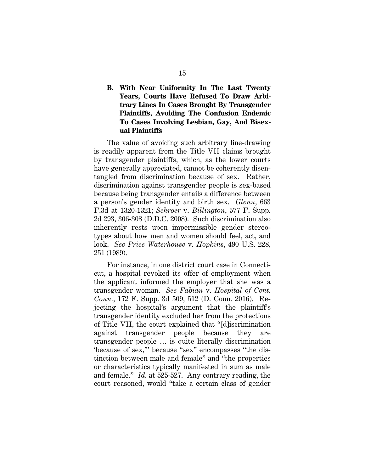### **B. With Near Uniformity In The Last Twenty Years, Courts Have Refused To Draw Arbitrary Lines In Cases Brought By Transgender Plaintiffs, Avoiding The Confusion Endemic To Cases Involving Lesbian, Gay, And Bisexual Plaintiffs**

The value of avoiding such arbitrary line-drawing is readily apparent from the Title VII claims brought by transgender plaintiffs, which, as the lower courts have generally appreciated, cannot be coherently disentangled from discrimination because of sex. Rather, discrimination against transgender people is sex-based because being transgender entails a difference between a person's gender identity and birth sex. *Glenn*, 663 F.3d at 1320-1321; *Schroer* v. *Billington*, 577 F. Supp. 2d 293, 306-308 (D.D.C. 2008). Such discrimination also inherently rests upon impermissible gender stereotypes about how men and women should feel, act, and look. *See Price Waterhouse* v. *Hopkins*, 490 U.S. 228, 251 (1989).

For instance, in one district court case in Connecticut, a hospital revoked its offer of employment when the applicant informed the employer that she was a transgender woman. *See Fabian* v. *Hospital of Cent. Conn.*, 172 F. Supp. 3d 509, 512 (D. Conn. 2016). Rejecting the hospital's argument that the plaintiff's transgender identity excluded her from the protections of Title VII, the court explained that "[d]iscrimination against transgender people because they are transgender people … is quite literally discrimination 'because of sex,'" because "sex" encompasses "the distinction between male and female" and "the properties or characteristics typically manifested in sum as male and female." *Id.* at 525-527. Any contrary reading, the court reasoned, would "take a certain class of gender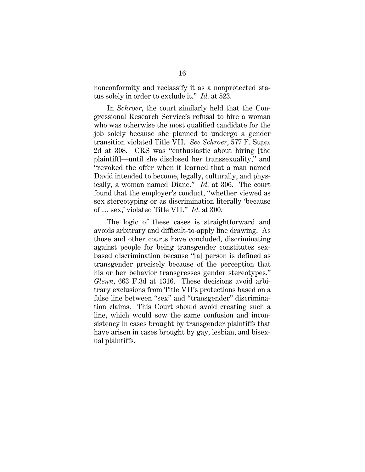nonconformity and reclassify it as a nonprotected status solely in order to exclude it." *Id.* at 523.

In *Schroer*, the court similarly held that the Congressional Research Service's refusal to hire a woman who was otherwise the most qualified candidate for the job solely because she planned to undergo a gender transition violated Title VII. *See Schroer*, 577 F. Supp. 2d at 308. CRS was "enthusiastic about hiring [the plaintiff]—until she disclosed her transsexuality," and "revoked the offer when it learned that a man named David intended to become, legally, culturally, and physically, a woman named Diane." *Id.* at 306. The court found that the employer's conduct, "whether viewed as sex stereotyping or as discrimination literally 'because of … sex,' violated Title VII." *Id.* at 300.

The logic of these cases is straightforward and avoids arbitrary and difficult-to-apply line drawing. As those and other courts have concluded, discriminating against people for being transgender constitutes sexbased discrimination because "[a] person is defined as transgender precisely because of the perception that his or her behavior transgresses gender stereotypes." *Glenn*, 663 F.3d at 1316. These decisions avoid arbitrary exclusions from Title VII's protections based on a false line between "sex" and "transgender" discrimination claims. This Court should avoid creating such a line, which would sow the same confusion and inconsistency in cases brought by transgender plaintiffs that have arisen in cases brought by gay, lesbian, and bisexual plaintiffs.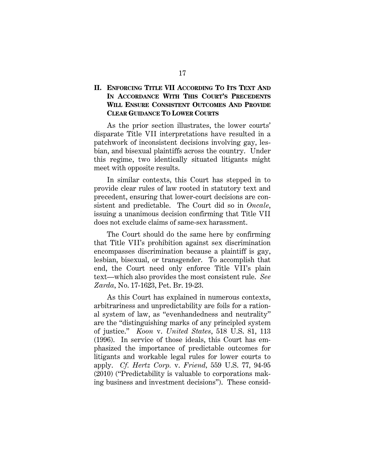### **II. ENFORCING TITLE VII ACCORDING TO ITS TEXT AND IN ACCORDANCE WITH THIS COURT'S PRECEDENTS WILL ENSURE CONSISTENT OUTCOMES AND PROVIDE CLEAR GUIDANCE TO LOWER COURTS**

As the prior section illustrates, the lower courts' disparate Title VII interpretations have resulted in a patchwork of inconsistent decisions involving gay, lesbian, and bisexual plaintiffs across the country. Under this regime, two identically situated litigants might meet with opposite results.

In similar contexts, this Court has stepped in to provide clear rules of law rooted in statutory text and precedent, ensuring that lower-court decisions are consistent and predictable. The Court did so in *Oncale*, issuing a unanimous decision confirming that Title VII does not exclude claims of same-sex harassment.

The Court should do the same here by confirming that Title VII's prohibition against sex discrimination encompasses discrimination because a plaintiff is gay, lesbian, bisexual, or transgender. To accomplish that end, the Court need only enforce Title VII's plain text—which also provides the most consistent rule. *See Zarda*, No. 17-1623, Pet. Br. 19-23.

As this Court has explained in numerous contexts, arbitrariness and unpredictability are foils for a rational system of law, as "evenhandedness and neutrality" are the "distinguishing marks of any principled system of justice." *Koon* v. *United States*, 518 U.S. 81, 113 (1996). In service of those ideals, this Court has emphasized the importance of predictable outcomes for litigants and workable legal rules for lower courts to apply. *Cf. Hertz Corp.* v. *Friend,* 559 U.S. 77*,* 94-95 (2010) ("Predictability is valuable to corporations making business and investment decisions").These consid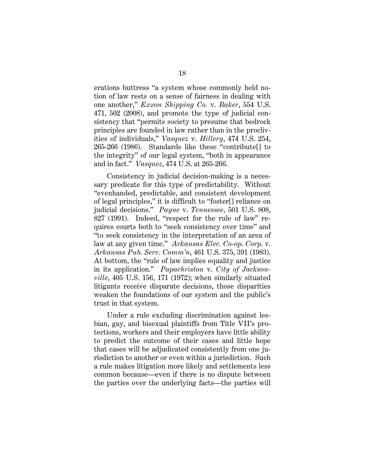erations buttress "a system whose commonly held notion of law rests on a sense of fairness in dealing with one another," *Exxon Shipping Co.* v. *Baker*, 554 U.S. 471, 502 (2008), and promote the type of judicial consistency that "permits society to presume that bedrock principles are founded in law rather than in the proclivities of individuals," *Vasquez* v. *Hillery*, 474 U.S. 254, 265-266 (1986). Standards like these "contribute[] to the integrity" of our legal system, "both in appearance and in fact." *Vasquez*, 474 U.S. at 265-266.

Consistency in judicial decision-making is a necessary predicate for this type of predictability. Without "evenhanded, predictable, and consistent development of legal principles," it is difficult to "foster[] reliance on judicial decisions." *Payne* v. *Tennessee*, 501 U.S. 808, 827 (1991). Indeed, "respect for the rule of law" requires courts both to "seek consistency over time" and "to seek consistency in the interpretation of an area of law at any given time." *Arkansas Elec. Co-op. Corp.* v. *Arkansas Pub. Serv. Comm'n*, 461 U.S. 375, 391 (1983). At bottom, the "rule of law implies equality and justice in its application." *Papachristou* v. *City of Jacksonville*, 405 U.S. 156, 171 (1972); when similarly situated litigants receive disparate decisions, those disparities weaken the foundations of our system and the public's trust in that system.

Under a rule excluding discrimination against lesbian, gay, and bisexual plaintiffs from Title VII's protections, workers and their employers have little ability to predict the outcome of their cases and little hope that cases will be adjudicated consistently from one jurisdiction to another or even within a jurisdiction. Such a rule makes litigation more likely and settlements less common because—even if there is no dispute between the parties over the underlying facts—the parties will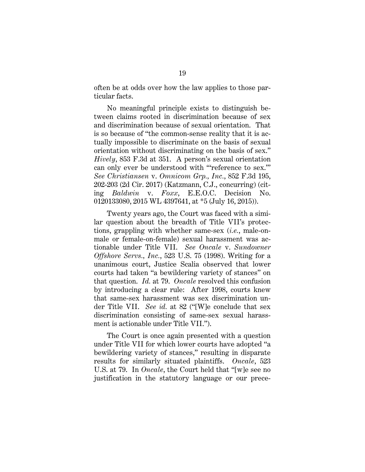often be at odds over how the law applies to those particular facts.

No meaningful principle exists to distinguish between claims rooted in discrimination because of sex and discrimination because of sexual orientation. That is so because of "the common-sense reality that it is actually impossible to discriminate on the basis of sexual orientation without discriminating on the basis of sex." *Hively*, 853 F.3d at 351. A person's sexual orientation can only ever be understood with "'reference to sex.'" *See Christiansen* v. *Omnicom Grp., Inc.*, 852 F.3d 195, 202-203 (2d Cir. 2017) (Katzmann, C.J., concurring) (citing *Baldwin* v. *Foxx*, E.E.O.C. Decision No. 0120133080, 2015 WL 4397641, at \*5 (July 16, 2015)).

Twenty years ago, the Court was faced with a similar question about the breadth of Title VII's protections, grappling with whether same-sex (*i.e.*, male-onmale or female-on-female) sexual harassment was actionable under Title VII. *See Oncale* v. *Sundowner Offshore Servs., Inc.*, 523 U.S. 75 (1998). Writing for a unanimous court, Justice Scalia observed that lower courts had taken "a bewildering variety of stances" on that question. *Id.* at 79. *Oncale* resolved this confusion by introducing a clear rule: After 1998, courts knew that same-sex harassment was sex discrimination under Title VII. *See id.* at 82 ("[W]e conclude that sex discrimination consisting of same-sex sexual harassment is actionable under Title VII.").

The Court is once again presented with a question under Title VII for which lower courts have adopted "a bewildering variety of stances," resulting in disparate results for similarly situated plaintiffs. *Oncale*, 523 U.S. at 79. In *Oncale*, the Court held that "[w]e see no justification in the statutory language or our prece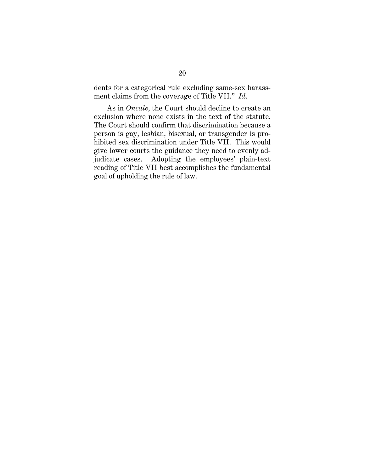dents for a categorical rule excluding same-sex harassment claims from the coverage of Title VII." *Id*.

As in *Oncale*, the Court should decline to create an exclusion where none exists in the text of the statute. The Court should confirm that discrimination because a person is gay, lesbian, bisexual, or transgender is prohibited sex discrimination under Title VII. This would give lower courts the guidance they need to evenly adjudicate cases. Adopting the employees' plain-text reading of Title VII best accomplishes the fundamental goal of upholding the rule of law.